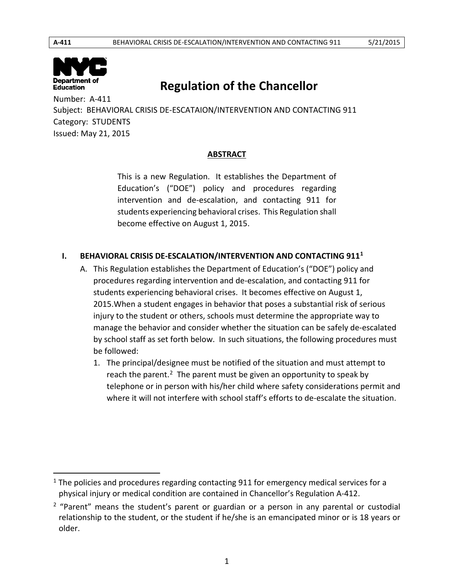$\overline{\phantom{a}}$ 



# **Regulation of the Chancellor**

 Number: A-411 Subject: BEHAVIORAL CRISIS DE-ESCATAION/INTERVENTION AND CONTACTING 911 Category: STUDENTS Issued: May 21, 2015

### **ABSTRACT**

 This is a new Regulation. It establishes the Department of Education's ("DOE") policy and procedures regarding students experiencing behavioral crises. This Regulation shall become effective on August 1, 2015. intervention and de-escalation, and contacting 911 for

# **I. BEHAVIORAL CRISIS DE-ESCALATION/INTERVENTION AND CONTACTING 911<sup>1</sup>**

- A. This Regulation establishes the Department of Education's ("DOE") policy and procedures regarding intervention and de-escalation, and contacting 911 for students experiencing behavioral crises. It becomes effective on August 1, 2015.When a student engages in behavior that poses a substantial risk of serious injury to the student or others, schools must determine the appropriate way to manage the behavior and consider whether the situation can be safely de-escalated by school staff as set forth below. In such situations, the following procedures must be followed:
	- 1. The principal/designee must be notified of the situation and must attempt to reach the parent.<sup>2</sup> The parent must be given an opportunity to speak by telephone or in person with his/her child where safety considerations permit and where it will not interfere with school staff's efforts to de-escalate the situation.

 $1$  The policies and procedures regarding contacting 911 for emergency medical services for a physical injury or medical condition are contained in Chancellor's Regulation A-412.

 $2$  "Parent" means the student's parent or guardian or a person in any parental or custodial relationship to the student, or the student if he/she is an emancipated minor or is 18 years or older.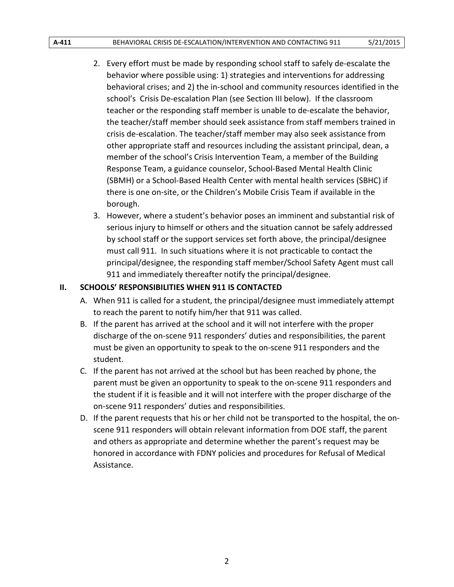#### A-411 **BEHAVIORAL CRISIS DE-ESCALATION/INTERVENTION AND CONTACTING 911** 5/21/2015

- 2. Every effort must be made by responding school staff to safely de-escalate the behavior where possible using: 1) strategies and interventions for addressing school's Crisis De-escalation Plan (see Section III below). If the classroom the teacher/staff member should seek assistance from staff members trained in other appropriate staff and resources including the assistant principal, dean, a behavioral crises; and 2) the in-school and community resources identified in the teacher or the responding staff member is unable to de-escalate the behavior, crisis de-escalation. The teacher/staff member may also seek assistance from member of the school's Crisis Intervention Team, a member of the Building Response Team, a guidance counselor, School-Based Mental Health Clinic (SBMH) or a School-Based Health Center with mental health services (SBHC) if there is one on-site, or the Children's Mobile Crisis Team if available in the borough.
- must call 911. In such situations where it is not practicable to contact the 3. However, where a student's behavior poses an imminent and substantial risk of serious injury to himself or others and the situation cannot be safely addressed by school staff or the support services set forth above, the principal/designee principal/designee, the responding staff member/School Safety Agent must call 911 and immediately thereafter notify the principal/designee.

### **II. SCHOOLS' RESPONSIBILITIES WHEN 911 IS CONTACTED**

- A. When 911 is called for a student, the principal/designee must immediately attempt to reach the parent to notify him/her that 911 was called.
- discharge of the on-scene 911 responders' duties and responsibilities, the parent B. If the parent has arrived at the school and it will not interfere with the proper must be given an opportunity to speak to the on-scene 911 responders and the student.
- C. If the parent has not arrived at the school but has been reached by phone, the parent must be given an opportunity to speak to the on-scene 911 responders and the student if it is feasible and it will not interfere with the proper discharge of the on-scene 911 responders' duties and responsibilities.
- D. If the parent requests that his or her child not be transported to the hospital, the onscene 911 responders will obtain relevant information from DOE staff, the parent and others as appropriate and determine whether the parent's request may be honored in accordance with FDNY policies and procedures for Refusal of Medical Assistance.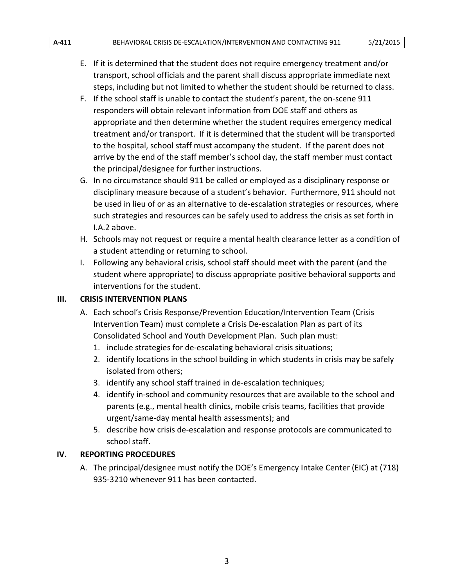- transport, school officials and the parent shall discuss appropriate immediate next E. If it is determined that the student does not require emergency treatment and/or steps, including but not limited to whether the student should be returned to class.
- F. If the school staff is unable to contact the student's parent, the on-scene 911 responders will obtain relevant information from DOE staff and others as appropriate and then determine whether the student requires emergency medical treatment and/or transport. If it is determined that the student will be transported to the hospital, school staff must accompany the student. If the parent does not arrive by the end of the staff member's school day, the staff member must contact the principal/designee for further instructions.
- G. In no circumstance should 911 be called or employed as a disciplinary response or disciplinary measure because of a student's behavior. Furthermore, 911 should not be used in lieu of or as an alternative to de-escalation strategies or resources, where such strategies and resources can be safely used to address the crisis as set forth in I.A.2 above.
- H. Schools may not request or require a mental health clearance letter as a condition of a student attending or returning to school.
- I. Following any behavioral crisis, school staff should meet with the parent (and the student where appropriate) to discuss appropriate positive behavioral supports and interventions for the student.

### **III. CRISIS INTERVENTION PLANS**

- A. Each school's Crisis Response/Prevention Education/Intervention Team (Crisis Intervention Team) must complete a Crisis De-escalation Plan as part of its Consolidated School and Youth Development Plan. Such plan must:
	- 1. include strategies for de-escalating behavioral crisis situations;
	- 2. identify locations in the school building in which students in crisis may be safely isolated from others;
	- 3. identify any school staff trained in de-escalation techniques;
	- 4. identify in-school and community resources that are available to the school and parents (e.g., mental health clinics, mobile crisis teams, facilities that provide urgent/same-day mental health assessments); and
	- 5. describe how crisis de-escalation and response protocols are communicated to school staff.

### **IV. REPORTING PROCEDURES**

A. The principal/designee must notify the DOE's Emergency Intake Center (EIC) at (718) 935-3210 whenever 911 has been contacted.